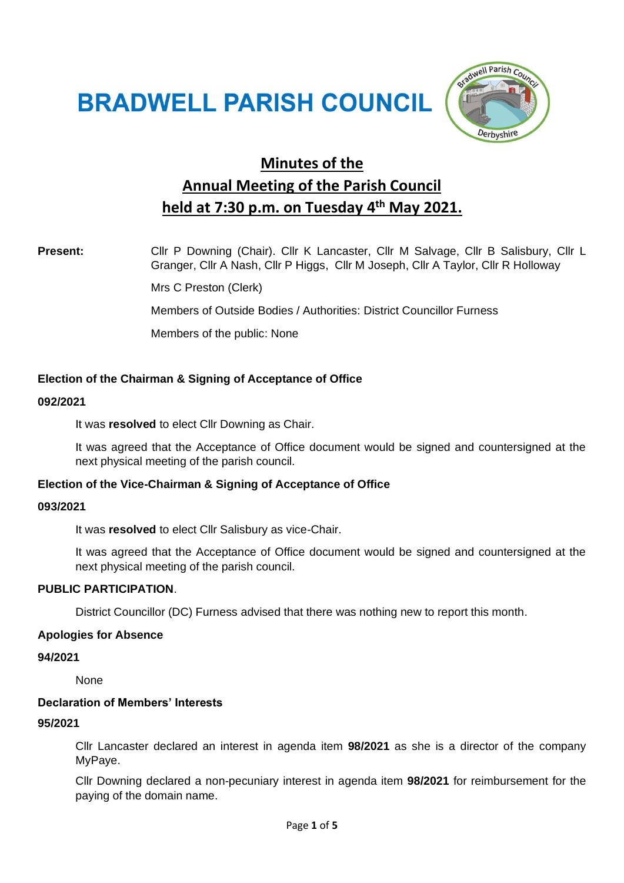# **BRADWELL PARISH COUNCIL**



# **Minutes of the Annual Meeting of the Parish Council held at 7:30 p.m. on Tuesday 4 th May 2021.**

Present: Cllr P Downing (Chair). Cllr K Lancaster, Cllr M Salvage, Cllr B Salisbury, Cllr L Granger, Cllr A Nash, Cllr P Higgs, Cllr M Joseph, Cllr A Taylor, Cllr R Holloway

Mrs C Preston (Clerk)

Members of Outside Bodies / Authorities: District Councillor Furness

Members of the public: None

# **Election of the Chairman & Signing of Acceptance of Office**

#### **092/2021**

It was **resolved** to elect Cllr Downing as Chair.

It was agreed that the Acceptance of Office document would be signed and countersigned at the next physical meeting of the parish council.

# **Election of the Vice-Chairman & Signing of Acceptance of Office**

#### **093/2021**

It was **resolved** to elect Cllr Salisbury as vice-Chair.

It was agreed that the Acceptance of Office document would be signed and countersigned at the next physical meeting of the parish council.

# **PUBLIC PARTICIPATION**.

District Councillor (DC) Furness advised that there was nothing new to report this month.

#### **Apologies for Absence**

**94/2021**

None

# **Declaration of Members' Interests**

#### **95/2021**

Cllr Lancaster declared an interest in agenda item **98/2021** as she is a director of the company MyPaye.

Cllr Downing declared a non-pecuniary interest in agenda item **98/2021** for reimbursement for the paying of the domain name.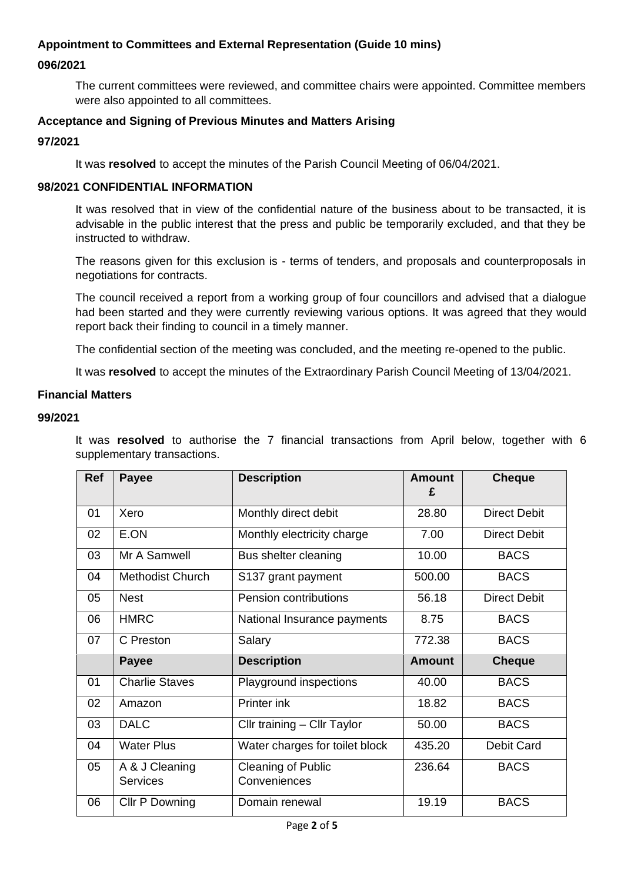# **Appointment to Committees and External Representation (Guide 10 mins)**

# **096/2021**

The current committees were reviewed, and committee chairs were appointed. Committee members were also appointed to all committees.

# **Acceptance and Signing of Previous Minutes and Matters Arising**

#### **97/2021**

It was **resolved** to accept the minutes of the Parish Council Meeting of 06/04/2021.

#### **98/2021 CONFIDENTIAL INFORMATION**

It was resolved that in view of the confidential nature of the business about to be transacted, it is advisable in the public interest that the press and public be temporarily excluded, and that they be instructed to withdraw.

The reasons given for this exclusion is - terms of tenders, and proposals and counterproposals in negotiations for contracts.

The council received a report from a working group of four councillors and advised that a dialogue had been started and they were currently reviewing various options. It was agreed that they would report back their finding to council in a timely manner.

The confidential section of the meeting was concluded, and the meeting re-opened to the public.

It was **resolved** to accept the minutes of the Extraordinary Parish Council Meeting of 13/04/2021.

#### **Financial Matters**

#### **99/2021**

It was **resolved** to authorise the 7 financial transactions from April below, together with 6 supplementary transactions.

| <b>Ref</b> | <b>Payee</b>                      | <b>Description</b>                        | <b>Amount</b><br>£ | <b>Cheque</b>       |
|------------|-----------------------------------|-------------------------------------------|--------------------|---------------------|
| 01         | Xero                              | Monthly direct debit                      | 28.80              | <b>Direct Debit</b> |
| 02         | E.ON                              | Monthly electricity charge                | 7.00               | <b>Direct Debit</b> |
| 03         | Mr A Samwell                      | Bus shelter cleaning                      | 10.00              | <b>BACS</b>         |
| 04         | <b>Methodist Church</b>           | S137 grant payment                        | 500.00             | <b>BACS</b>         |
| 05         | <b>Nest</b>                       | Pension contributions                     | 56.18              | <b>Direct Debit</b> |
| 06         | <b>HMRC</b>                       | National Insurance payments               | 8.75               | <b>BACS</b>         |
| 07         | C Preston                         | Salary                                    | 772.38             | <b>BACS</b>         |
|            | <b>Payee</b>                      | <b>Description</b>                        | <b>Amount</b>      | <b>Cheque</b>       |
| 01         | <b>Charlie Staves</b>             | Playground inspections                    | 40.00              | <b>BACS</b>         |
| 02         | Amazon                            | Printer ink                               | 18.82              | <b>BACS</b>         |
| 03         | <b>DALC</b>                       | Cllr training - Cllr Taylor               | 50.00              | <b>BACS</b>         |
| 04         | <b>Water Plus</b>                 | Water charges for toilet block            | 435.20             | <b>Debit Card</b>   |
| 05         | A & J Cleaning<br><b>Services</b> | <b>Cleaning of Public</b><br>Conveniences | 236.64             | <b>BACS</b>         |
|            |                                   |                                           |                    |                     |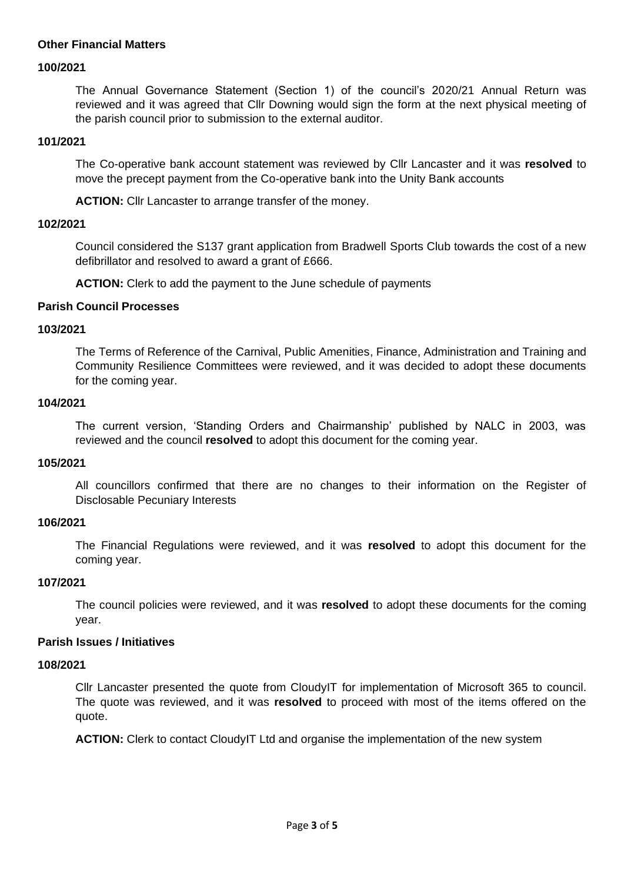# **Other Financial Matters**

#### **100/2021**

The Annual Governance Statement (Section 1) of the council's 2020/21 Annual Return was reviewed and it was agreed that Cllr Downing would sign the form at the next physical meeting of the parish council prior to submission to the external auditor.

#### **101/2021**

The Co-operative bank account statement was reviewed by Cllr Lancaster and it was **resolved** to move the precept payment from the Co-operative bank into the Unity Bank accounts

**ACTION:** Cllr Lancaster to arrange transfer of the money.

#### **102/2021**

Council considered the S137 grant application from Bradwell Sports Club towards the cost of a new defibrillator and resolved to award a grant of £666.

**ACTION:** Clerk to add the payment to the June schedule of payments

#### **Parish Council Processes**

#### **103/2021**

The Terms of Reference of the Carnival, Public Amenities, Finance, Administration and Training and Community Resilience Committees were reviewed, and it was decided to adopt these documents for the coming year.

#### **104/2021**

The current version, 'Standing Orders and Chairmanship' published by NALC in 2003, was reviewed and the council **resolved** to adopt this document for the coming year.

#### **105/2021**

All councillors confirmed that there are no changes to their information on the Register of Disclosable Pecuniary Interests

# **106/2021**

The Financial Regulations were reviewed, and it was **resolved** to adopt this document for the coming year.

#### **107/2021**

The council policies were reviewed, and it was **resolved** to adopt these documents for the coming year.

#### **Parish Issues / Initiatives**

#### **108/2021**

Cllr Lancaster presented the quote from CloudyIT for implementation of Microsoft 365 to council. The quote was reviewed, and it was **resolved** to proceed with most of the items offered on the quote.

**ACTION:** Clerk to contact CloudyIT Ltd and organise the implementation of the new system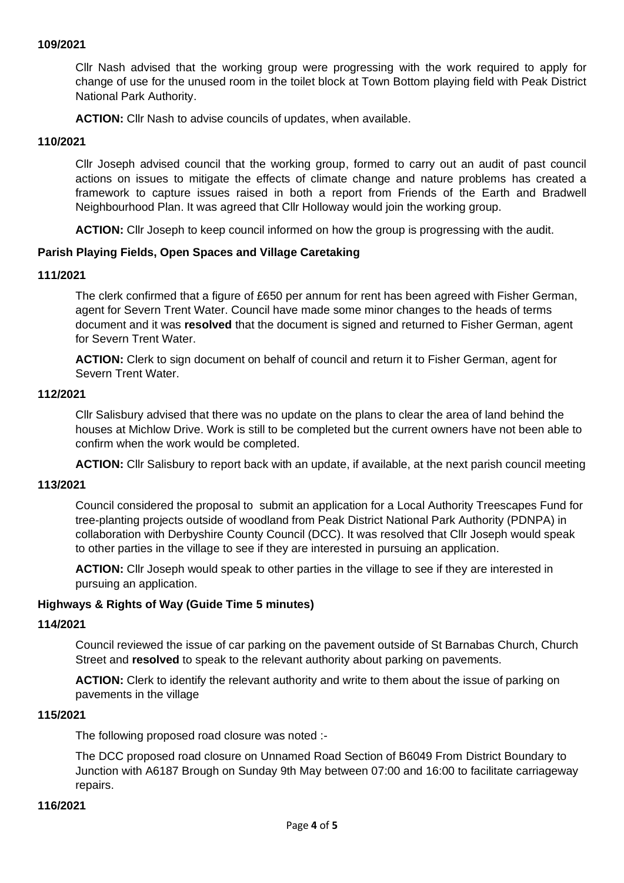#### **109/2021**

Cllr Nash advised that the working group were progressing with the work required to apply for change of use for the unused room in the toilet block at Town Bottom playing field with Peak District National Park Authority.

**ACTION:** Cllr Nash to advise councils of updates, when available.

#### **110/2021**

Cllr Joseph advised council that the working group, formed to carry out an audit of past council actions on issues to mitigate the effects of climate change and nature problems has created a framework to capture issues raised in both a report from Friends of the Earth and Bradwell Neighbourhood Plan. It was agreed that Cllr Holloway would join the working group.

**ACTION:** Cllr Joseph to keep council informed on how the group is progressing with the audit.

# **Parish Playing Fields, Open Spaces and Village Caretaking**

#### **111/2021**

The clerk confirmed that a figure of £650 per annum for rent has been agreed with Fisher German, agent for Severn Trent Water. Council have made some minor changes to the heads of terms document and it was **resolved** that the document is signed and returned to Fisher German, agent for Severn Trent Water.

**ACTION:** Clerk to sign document on behalf of council and return it to Fisher German, agent for Severn Trent Water.

#### **112/2021**

Cllr Salisbury advised that there was no update on the plans to clear the area of land behind the houses at Michlow Drive. Work is still to be completed but the current owners have not been able to confirm when the work would be completed.

**ACTION:** Cllr Salisbury to report back with an update, if available, at the next parish council meeting

#### **113/2021**

Council considered the proposal to submit an application for a Local Authority Treescapes Fund for tree-planting projects outside of woodland from Peak District National Park Authority (PDNPA) in collaboration with Derbyshire County Council (DCC). It was resolved that Cllr Joseph would speak to other parties in the village to see if they are interested in pursuing an application.

**ACTION:** Cllr Joseph would speak to other parties in the village to see if they are interested in pursuing an application.

#### **Highways & Rights of Way (Guide Time 5 minutes)**

# **114/2021**

Council reviewed the issue of car parking on the pavement outside of St Barnabas Church, Church Street and **resolved** to speak to the relevant authority about parking on pavements.

**ACTION:** Clerk to identify the relevant authority and write to them about the issue of parking on pavements in the village

#### **115/2021**

The following proposed road closure was noted :-

The DCC proposed road closure on Unnamed Road Section of B6049 From District Boundary to Junction with A6187 Brough on Sunday 9th May between 07:00 and 16:00 to facilitate carriageway repairs.

#### **116/2021**